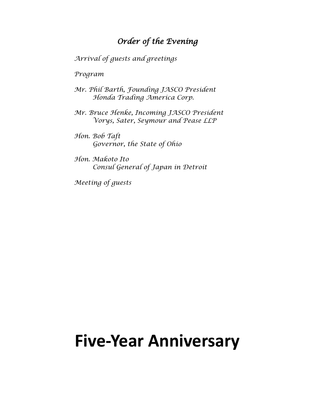# *Order of the Evening*

*Arrival of guests and greetings*

*Program*

*Mr. Phil Barth, Founding JASCO President Honda Trading America Corp.*

*Mr. Bruce Henke, Incoming JASCO President Vorys, Sater, Seymour and Pease LLP*

*Hon. Bob Taft Governor, the State of Ohio*

*Hon. Makoto Ito Consul General of Japan in Detroit*

*Meeting of guests* 

# **Five-Year Anniversary**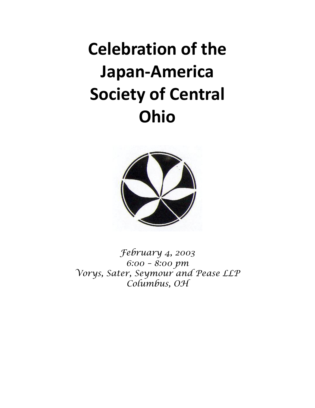# **Celebration of the Japan-America Society of Central Ohio**



*February 4, 2003 6:00 – 8:00 pm Vorys, Sater, Seymour and Pease LLP Columbus, OH*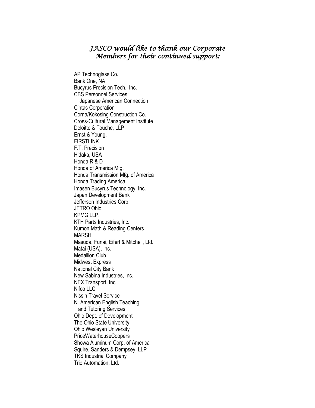## *JASCO would like to thank our Corporate Members for their continued support:*

AP Technoglass Co. Bank One, NA Bucyrus Precision Tech., Inc. CBS Personnel Services: Japanese American Connection Cintas Corporation Corna/Kokosing Construction Co. Cross-Cultural Management Institute Deloitte & Touche, LLP Ernst & Young, FIRSTLINK F.T. Precision Hidaka, USA Honda R & D Honda of America Mfg. Honda Transmission Mfg. of America Honda Trading America Imasen Bucyrus Technology, Inc. Japan Development Bank Jefferson Industries Corp. JETRO Ohio KPMG LLP. KTH Parts Industries, Inc. Kumon Math & Reading Centers MARSH Masuda, Funai, Eifert & Mitchell, Ltd. Matai (USA), Inc. Medallion Club Midwest Express National City Bank New Sabina Industries, Inc. NEX Transport, Inc. Nifco LLC Nissin Travel Service N. American English Teaching and Tutoring Services Ohio Dept. of Development The Ohio State University Ohio Wesleyan University PriceWaterhouseCoopers Showa Aluminum Corp. of America Squire, Sanders & Dempsey, LLP TKS Industrial Company Trio Automation, Ltd.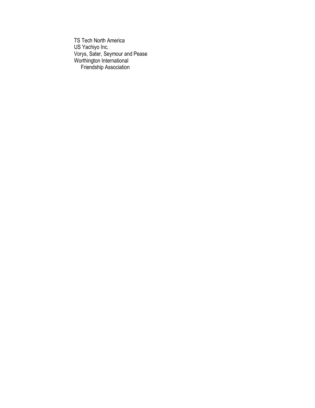TS Tech North America US Yachiyo Inc. Vorys, Sater, Seymour and Pease Worthington International Friendship Association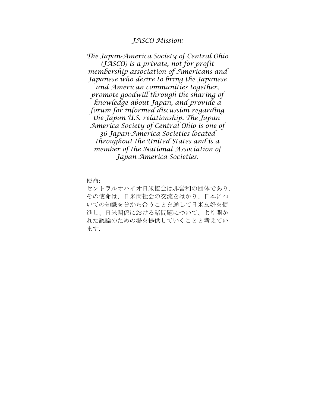#### *JASCO Mission:*

*The Japan-America Society of Central Ohio (JASCO) is a private, not-for-profit membership association of Americans and Japanese who desire to bring the Japanese and American communities together, promote goodwill through the sharing of knowledge about Japan, and provide a forum for informed discussion regarding the Japan-U.S. relationship. The Japan-America Society of Central Ohio is one of 36 Japan-America Societies located throughout the United States and is a member of the National Association of Japan-America Societies.*

使命:

セントラルオハイオ日米協会は非営利の団体であり、 その使命は、日米両社会の交流をはかり、日本につ いての知識を分かち合うことを通して日米友好を促 進し、日米関係における諸問題について、より開か れた議論のための場を提供していくことと考えてい ます.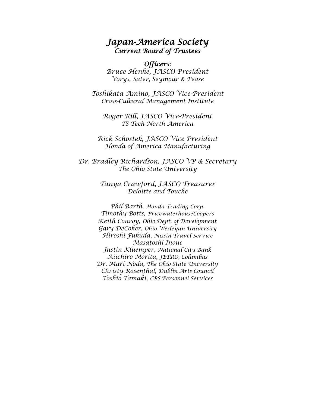# *Japan-America Society Current Board of Trustees*

*Officers: Bruce Henke, JASCO President Vorys, Sater, Seymour & Pease*

*Toshikata Amino, JASCO Vice-President Cross-Cultural Management Institute*

*Roger Rill, JASCO Vice-President TS Tech North America*

*Rick Schostek, JASCO Vice-President Honda of America Manufacturing*

*Dr. Bradley Richardson, JASCO VP & Secretary The Ohio State University*

> *Tanya Crawford, JASCO Treasurer Deloitte and Touche*

*Phil Barth, Honda Trading Corp. Timothy Botts, PricewaterhouseCoopers Keith Conroy, Ohio Dept. of Development Gary DeCoker, Ohio Wesleyan University Hiroshi Fukuda, Nissin Travel Service Masatoshi Inoue Justin Kluemper, National City Bank Aiichiro Morita, JETRO, Columbus Dr. Mari Noda, The Ohio State University Christy Rosenthal, Dublin Arts Council Toshio Tamaki, CBS Personnel Services*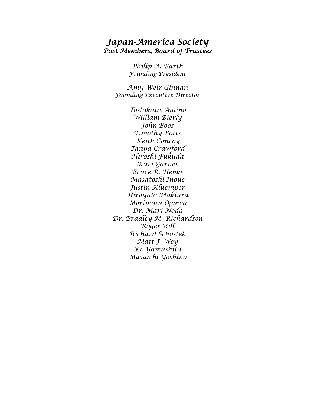# *Japan-America Society Past Members, Board of Trustees*

*Philip A. Barth Founding President*

*Amy Weir-Ginnan Founding Executive Director*

*Toshikata Amino William Bierly John Boos Timothy Botts Keith Conroy Tanya Crawford Hiroshi Fukuda Kari Garnes Bruce R. Henke Masatoshi Inoue Justin Kluemper Hiroyuki Makiura Morimasa Ogawa Dr. Mari Noda Dr. Bradley M. Richardson Roger Rill Richard Schostek Matt J. Wey Ko Yamashita Masaichi Yoshino*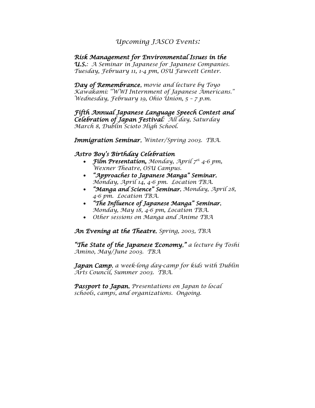### *Upcoming JASCO Events:*

#### *Risk Management for Environmental Issues in the*

*U.S.: A Seminar in Japanese for Japanese Companies. Tuesday, February 11, 1-4 pm, OSU Fawcett Center.* 

*Day of Remembrance, movie and lecture by Toyo Kawakami: "WWI Internment of Japanese Americans." Wednesday, February 19, Ohio Union, 5 – 7 p.m.*

*Fifth Annual Japanese Language Speech Contest and Celebration of Japan Festival: All day, Saturday March 8, Dublin Scioto High School.* 

*Immigration Seminar, Winter/Spring 2003. TBA.*

#### *Astro Boy's Birthday Celebration*

- *Film Presentation, Monday, April 7th 4-6 pm, Wexner Theatre, OSU Campus.*
- *"Approaches to Japanese Manga" Seminar, Monday, April 14, 4-6 pm. Location TBA.*
- *"Manga and Science" Seminar, Monday, April 28, 4-6 pm. Location TBA.*
- *"The Influence of Japanese Manga" Seminar, Monday, May 18, 4-6 pm, Location TBA.*
- *Other sessions on Manga and Anime TBA*

*An Evening at the Theatre, Spring, 2003, TBA*

*"The State of the Japanese Economy," a lecture by Toshi Amino, May/June 2003. TBA*

*Japan Camp, a week-long day-camp for kids with Dublin Arts Council, Summer 2003. TBA.* 

*Passport to Japan, Presentations on Japan to local schools, camps, and organizations. Ongoing.*